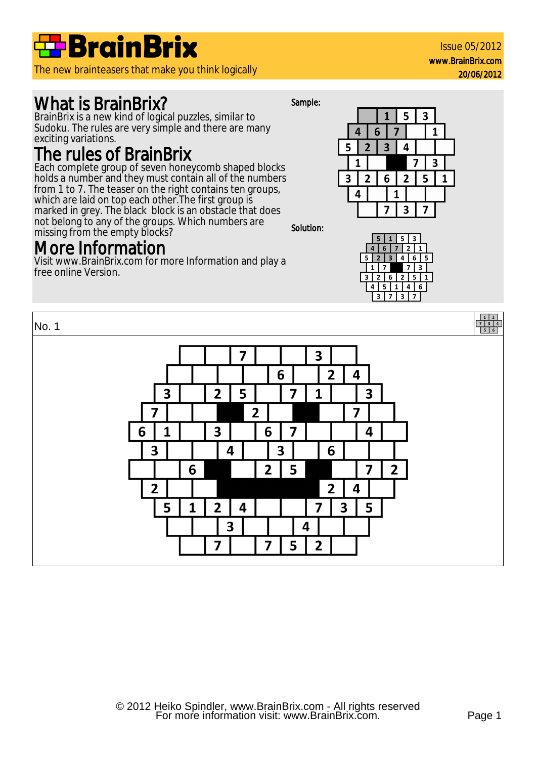

The new brainteasers that make you think logically

## What is BrainBrix?

BrainBrix is a new kind of logical puzzles, similar to Sudoku. The rules are very simple and there are many exciting variations.

### The rules of BrainBrix

Each complete group of seven honeycomb shaped blocks holds a number and they must contain all of the numbers from 1 to 7. The teaser on the right contains ten groups, which are laid on top each other. The first group is marked in grey. The black block is an obstacle that does not belong to any of the groups. Which numbers are missing from the empty blocks? Solution:

## More Information

Visit www.BrainBrix.com for more Information and play a free online Version.

Sample:





Issue 05/2012 www.BrainBrix.com

20/06/2012

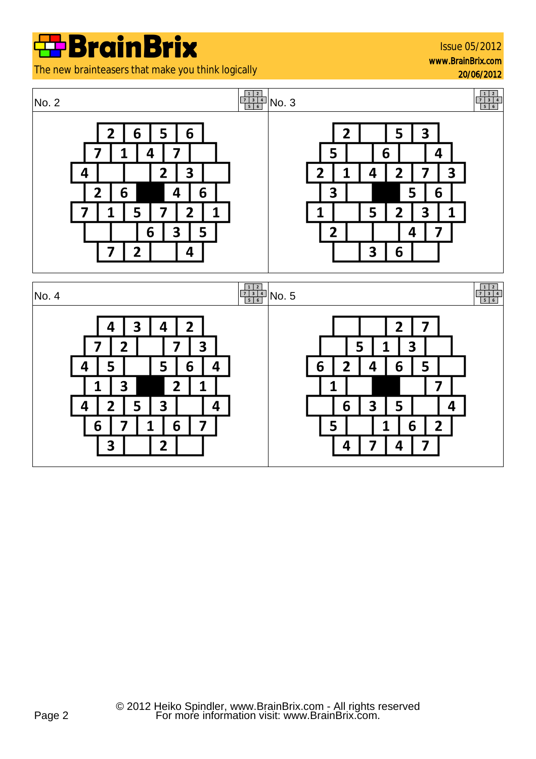The new brainteasers that make you think logically

Issue 05/2012 www.BrainBrix.com

20/06/2012

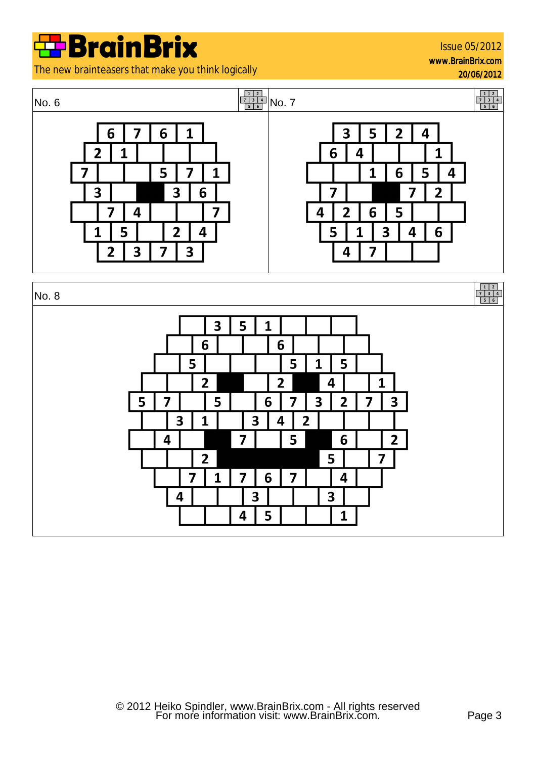Issue 05/2012 www.BrainBrix.com

20/06/2012





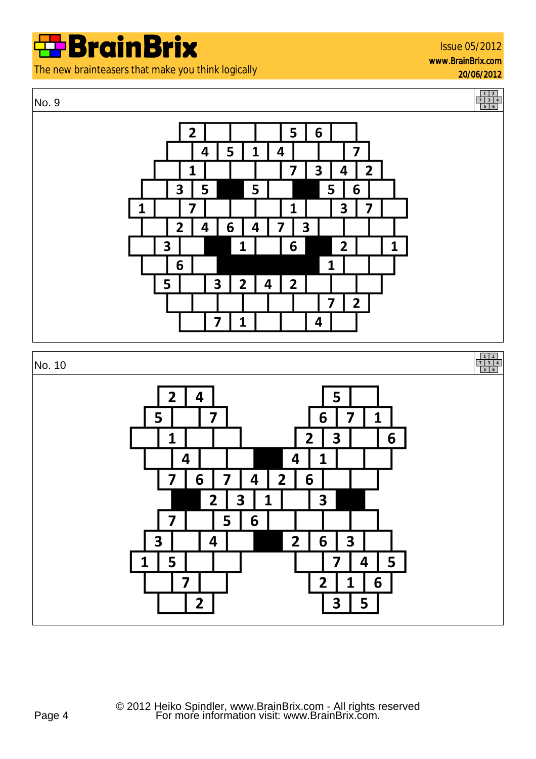The new brainteasers that make you think logically

#### No. 9



20/06/2012



 $\overline{2}$ 

 $\overline{\mathbf{3}}$ 

5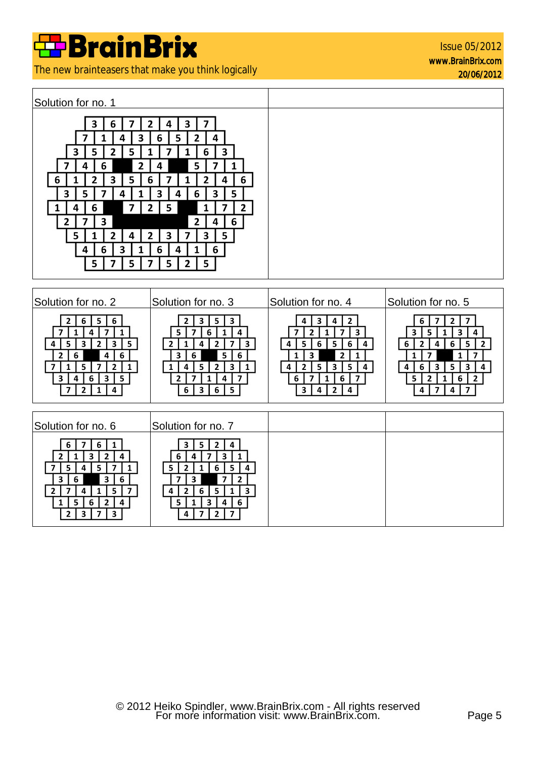The new brainteasers that make you think logically

Issue 05/2012 www.BrainBrix.com 20/06/2012

| Solution for no. 2                                                                                                                                                                                                         | Solution for no. 3                                                                                                                                                                                                       | Solution for no. 4                                                                                                                                                                                                                                                            | Solution for no. 5                                                                                                                                                                                                                       |
|----------------------------------------------------------------------------------------------------------------------------------------------------------------------------------------------------------------------------|--------------------------------------------------------------------------------------------------------------------------------------------------------------------------------------------------------------------------|-------------------------------------------------------------------------------------------------------------------------------------------------------------------------------------------------------------------------------------------------------------------------------|------------------------------------------------------------------------------------------------------------------------------------------------------------------------------------------------------------------------------------------|
| 5.<br>6<br>6<br>$\overline{\mathbf{z}}$<br>1<br>1<br>4<br>5<br>3<br>$\overline{2}$<br>3<br>5<br>4<br>6<br>4<br>6<br>2<br>5<br>$\overline{2}$<br>5<br>$\mathbf{3}$<br>3<br>6<br>4<br>$\overline{2}$<br>7<br>4               | 3<br>5<br>3<br>5<br>6<br>4<br>1<br>3<br>$\mathbf{2}$<br>$\overline{2}$<br>7<br>4<br>5 <sup>1</sup><br>6<br>3<br>6<br>5<br>$\overline{2}$<br>3<br>1<br>$\overline{2}$<br>7<br>4<br>$\overline{\mathbf{3}}$<br>5<br>6<br>6 | $\overline{2}$<br>3<br>4<br>4<br>$\overline{\mathbf{z}}$<br>$\mathbf{2}$<br>7<br>3<br>5<br>6<br>5<br>6<br>4<br>4<br>3<br>$\overline{2}$<br>1<br>1<br>$\overline{\mathbf{3}}$<br>5<br>$\overline{2}$<br>5<br>4<br>4<br>6<br>6<br>7<br>$\mathbf{3}$<br>$\overline{2}$<br>4<br>4 | $\mathbf{2}$<br>7<br>6<br>3<br>5<br>3<br>4<br>5<br>6<br>6<br>$\overline{2}$<br>$\mathbf{2}$<br>4<br>7<br>7<br>$\mathbf{1}$<br>1<br>3<br>3<br>5.<br>6<br>4<br>4<br>6<br>$\overline{2}$<br>5<br>$\overline{2}$<br>$\overline{7}$<br>4<br>4 |
| Solution for no. 6                                                                                                                                                                                                         | Solution for no. 7                                                                                                                                                                                                       |                                                                                                                                                                                                                                                                               |                                                                                                                                                                                                                                          |
| 6<br>$\mathbf{1}$<br>6<br>$\overline{2}$<br>3<br>1<br>4<br>$\mathbf{2}$<br>5<br>7<br>5<br>1<br>4<br>$\mathbf{3}$<br>6<br>3<br>6<br>5<br>4<br>$\overline{2}$<br>5<br>6<br>4<br>$\overline{\mathbf{3}}$<br>3<br>$\mathbf{2}$ | 5<br>$\overline{2}$<br>4<br>3<br>3<br>6<br>7<br>4<br>1<br>5<br>5.<br>6<br>4<br>$\overline{7}$<br>$\overline{2}$<br>7<br>3<br>5<br>3<br>6<br>1<br>4<br>6<br>3<br>5.<br>4<br>$\overline{7}$<br>$\overline{2}$<br>4         |                                                                                                                                                                                                                                                                               |                                                                                                                                                                                                                                          |